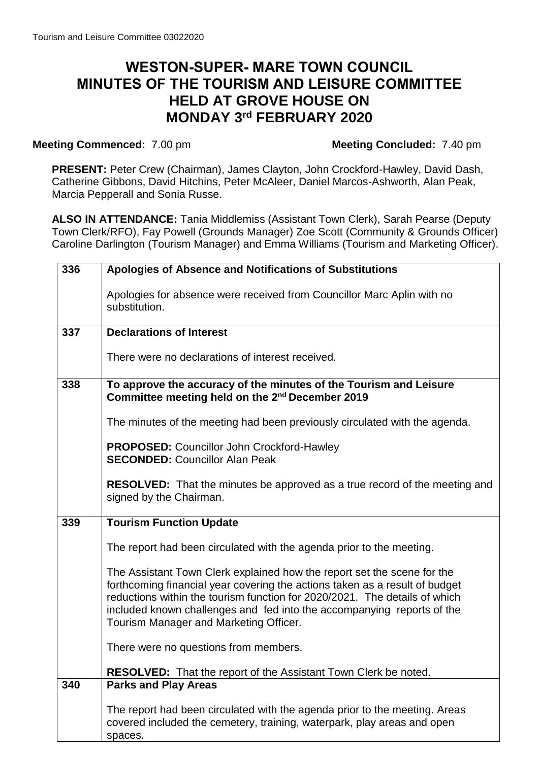## **WESTON-SUPER- MARE TOWN COUNCIL MINUTES OF THE TOURISM AND LEISURE COMMITTEE HELD AT GROVE HOUSE ON MONDAY 3 rd FEBRUARY 2020**

## **Meeting Commenced:**  $7.00 \text{ pm}$  **Meeting Concluded:**  $7.40 \text{ pm}$

**PRESENT:** Peter Crew (Chairman), James Clayton, John Crockford-Hawley, David Dash, Catherine Gibbons, David Hitchins, Peter McAleer, Daniel Marcos-Ashworth, Alan Peak, Marcia Pepperall and Sonia Russe.

**ALSO IN ATTENDANCE:** Tania Middlemiss (Assistant Town Clerk), Sarah Pearse (Deputy Town Clerk/RFO), Fay Powell (Grounds Manager) Zoe Scott (Community & Grounds Officer) Caroline Darlington (Tourism Manager) and Emma Williams (Tourism and Marketing Officer).

| 336 | Apologies of Absence and Notifications of Substitutions                                                                                                                                                                                                                                                                                                  |
|-----|----------------------------------------------------------------------------------------------------------------------------------------------------------------------------------------------------------------------------------------------------------------------------------------------------------------------------------------------------------|
|     | Apologies for absence were received from Councillor Marc Aplin with no<br>substitution.                                                                                                                                                                                                                                                                  |
| 337 | <b>Declarations of Interest</b>                                                                                                                                                                                                                                                                                                                          |
|     | There were no declarations of interest received.                                                                                                                                                                                                                                                                                                         |
| 338 | To approve the accuracy of the minutes of the Tourism and Leisure<br>Committee meeting held on the 2 <sup>nd</sup> December 2019                                                                                                                                                                                                                         |
|     | The minutes of the meeting had been previously circulated with the agenda.                                                                                                                                                                                                                                                                               |
|     | <b>PROPOSED: Councillor John Crockford-Hawley</b><br><b>SECONDED: Councillor Alan Peak</b>                                                                                                                                                                                                                                                               |
|     | <b>RESOLVED:</b> That the minutes be approved as a true record of the meeting and<br>signed by the Chairman.                                                                                                                                                                                                                                             |
| 339 | <b>Tourism Function Update</b>                                                                                                                                                                                                                                                                                                                           |
|     | The report had been circulated with the agenda prior to the meeting.                                                                                                                                                                                                                                                                                     |
|     | The Assistant Town Clerk explained how the report set the scene for the<br>forthcoming financial year covering the actions taken as a result of budget<br>reductions within the tourism function for 2020/2021. The details of which<br>included known challenges and fed into the accompanying reports of the<br>Tourism Manager and Marketing Officer. |
|     | There were no questions from members.                                                                                                                                                                                                                                                                                                                    |
|     | <b>RESOLVED:</b> That the report of the Assistant Town Clerk be noted.                                                                                                                                                                                                                                                                                   |
| 340 | <b>Parks and Play Areas</b>                                                                                                                                                                                                                                                                                                                              |
|     | The report had been circulated with the agenda prior to the meeting. Areas<br>covered included the cemetery, training, waterpark, play areas and open<br>spaces.                                                                                                                                                                                         |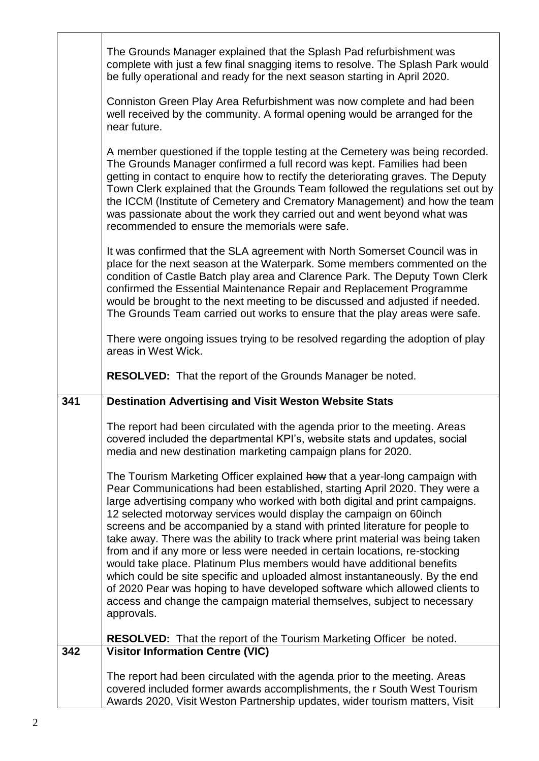|     | The Grounds Manager explained that the Splash Pad refurbishment was<br>complete with just a few final snagging items to resolve. The Splash Park would<br>be fully operational and ready for the next season starting in April 2020.                                                                                                                                                                                                                                                                                                                                                                                                                                                                                                                                                                                                                                                             |
|-----|--------------------------------------------------------------------------------------------------------------------------------------------------------------------------------------------------------------------------------------------------------------------------------------------------------------------------------------------------------------------------------------------------------------------------------------------------------------------------------------------------------------------------------------------------------------------------------------------------------------------------------------------------------------------------------------------------------------------------------------------------------------------------------------------------------------------------------------------------------------------------------------------------|
|     | Conniston Green Play Area Refurbishment was now complete and had been<br>well received by the community. A formal opening would be arranged for the<br>near future.                                                                                                                                                                                                                                                                                                                                                                                                                                                                                                                                                                                                                                                                                                                              |
|     | A member questioned if the topple testing at the Cemetery was being recorded.<br>The Grounds Manager confirmed a full record was kept. Families had been<br>getting in contact to enquire how to rectify the deteriorating graves. The Deputy<br>Town Clerk explained that the Grounds Team followed the regulations set out by<br>the ICCM (Institute of Cemetery and Crematory Management) and how the team<br>was passionate about the work they carried out and went beyond what was<br>recommended to ensure the memorials were safe.                                                                                                                                                                                                                                                                                                                                                       |
|     | It was confirmed that the SLA agreement with North Somerset Council was in<br>place for the next season at the Waterpark. Some members commented on the<br>condition of Castle Batch play area and Clarence Park. The Deputy Town Clerk<br>confirmed the Essential Maintenance Repair and Replacement Programme<br>would be brought to the next meeting to be discussed and adjusted if needed.<br>The Grounds Team carried out works to ensure that the play areas were safe.                                                                                                                                                                                                                                                                                                                                                                                                                   |
|     | There were ongoing issues trying to be resolved regarding the adoption of play<br>areas in West Wick.                                                                                                                                                                                                                                                                                                                                                                                                                                                                                                                                                                                                                                                                                                                                                                                            |
|     | <b>RESOLVED:</b> That the report of the Grounds Manager be noted.                                                                                                                                                                                                                                                                                                                                                                                                                                                                                                                                                                                                                                                                                                                                                                                                                                |
| 341 | <b>Destination Advertising and Visit Weston Website Stats</b>                                                                                                                                                                                                                                                                                                                                                                                                                                                                                                                                                                                                                                                                                                                                                                                                                                    |
|     | The report had been circulated with the agenda prior to the meeting. Areas<br>covered included the departmental KPI's, website stats and updates, social<br>media and new destination marketing campaign plans for 2020.                                                                                                                                                                                                                                                                                                                                                                                                                                                                                                                                                                                                                                                                         |
|     | The Tourism Marketing Officer explained how that a year-long campaign with<br>Pear Communications had been established, starting April 2020. They were a<br>large advertising company who worked with both digital and print campaigns.<br>12 selected motorway services would display the campaign on 60 inch<br>screens and be accompanied by a stand with printed literature for people to<br>take away. There was the ability to track where print material was being taken<br>from and if any more or less were needed in certain locations, re-stocking<br>would take place. Platinum Plus members would have additional benefits<br>which could be site specific and uploaded almost instantaneously. By the end<br>of 2020 Pear was hoping to have developed software which allowed clients to<br>access and change the campaign material themselves, subject to necessary<br>approvals. |
| 342 | <b>RESOLVED:</b> That the report of the Tourism Marketing Officer be noted.<br><b>Visitor Information Centre (VIC)</b>                                                                                                                                                                                                                                                                                                                                                                                                                                                                                                                                                                                                                                                                                                                                                                           |
|     |                                                                                                                                                                                                                                                                                                                                                                                                                                                                                                                                                                                                                                                                                                                                                                                                                                                                                                  |
|     | The report had been circulated with the agenda prior to the meeting. Areas<br>covered included former awards accomplishments, the r South West Tourism<br>Awards 2020, Visit Weston Partnership updates, wider tourism matters, Visit                                                                                                                                                                                                                                                                                                                                                                                                                                                                                                                                                                                                                                                            |